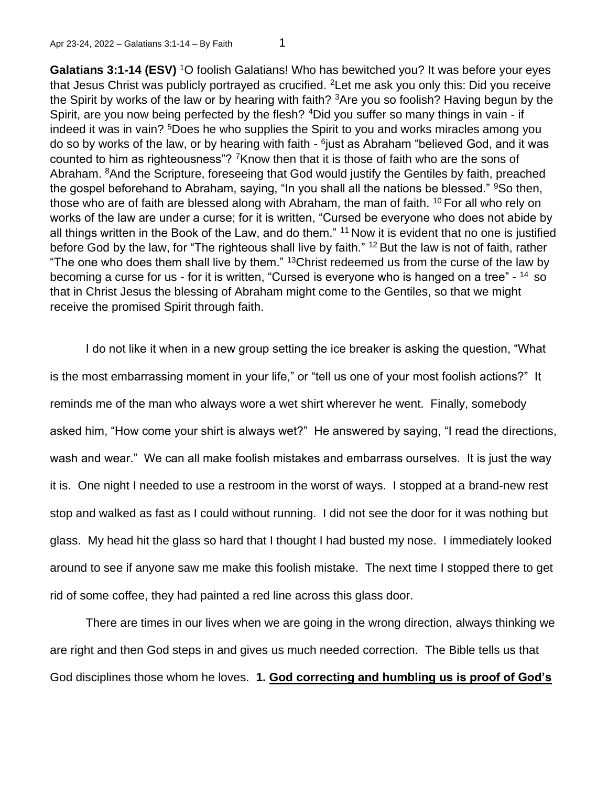**Galatians 3:1-14 (ESV)** <sup>1</sup>O foolish Galatians! Who has bewitched you? It was before your eyes that Jesus Christ was publicly portrayed as crucified. <sup>2</sup>Let me ask you only this: Did you receive the Spirit by works of the law or by hearing with faith? <sup>3</sup>Are you so foolish? Having begun by the Spirit, are you now being perfected by the flesh? <sup>4</sup>Did you suffer so many things in vain - if indeed it was in vain? <sup>5</sup>Does he who supplies the Spirit to you and works miracles among you do so by works of the law, or by hearing with faith - <sup>6</sup>just as Abraham "believed God, and it was counted to him as righteousness"? <sup>7</sup>Know then that it is those of faith who are the sons of Abraham. <sup>8</sup>And the Scripture, foreseeing that God would justify the Gentiles by faith, preached the gospel beforehand to Abraham, saying, "In you shall all the nations be blessed." <sup>9</sup>So then, those who are of faith are blessed along with Abraham, the man of faith. <sup>10</sup> For all who rely on works of the law are under a curse; for it is written, "Cursed be everyone who does not abide by all things written in the Book of the Law, and do them." <sup>11</sup> Now it is evident that no one is justified before God by the law, for "The righteous shall live by faith." <sup>12</sup> But the law is not of faith, rather "The one who does them shall live by them."  $13$ Christ redeemed us from the curse of the law by becoming a curse for us - for it is written, "Cursed is everyone who is hanged on a tree" - <sup>14</sup> so that in Christ Jesus the blessing of Abraham might come to the Gentiles, so that we might receive the promised Spirit through faith.

I do not like it when in a new group setting the ice breaker is asking the question, "What is the most embarrassing moment in your life," or "tell us one of your most foolish actions?" It reminds me of the man who always wore a wet shirt wherever he went. Finally, somebody asked him, "How come your shirt is always wet?" He answered by saying, "I read the directions, wash and wear." We can all make foolish mistakes and embarrass ourselves. It is just the way it is. One night I needed to use a restroom in the worst of ways. I stopped at a brand-new rest stop and walked as fast as I could without running. I did not see the door for it was nothing but glass. My head hit the glass so hard that I thought I had busted my nose. I immediately looked around to see if anyone saw me make this foolish mistake. The next time I stopped there to get rid of some coffee, they had painted a red line across this glass door.

There are times in our lives when we are going in the wrong direction, always thinking we are right and then God steps in and gives us much needed correction. The Bible tells us that God disciplines those whom he loves. **1. God correcting and humbling us is proof of God's**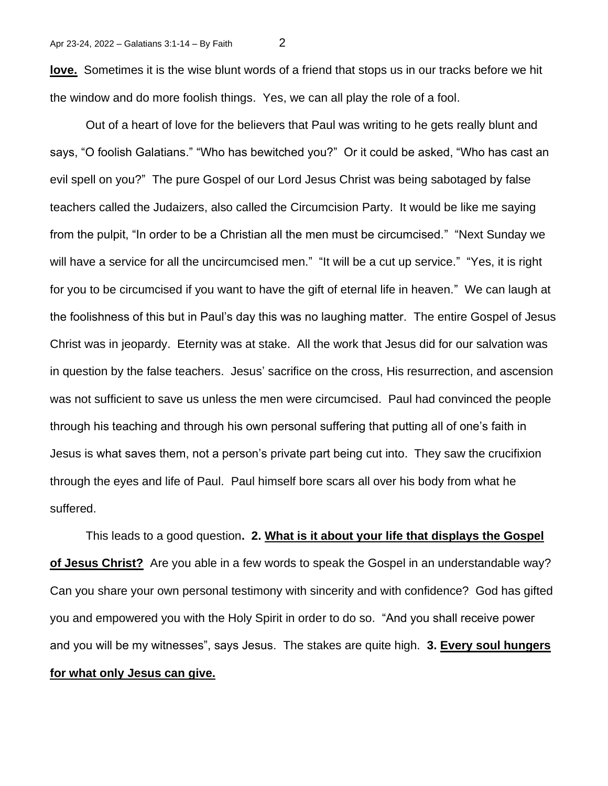**love.** Sometimes it is the wise blunt words of a friend that stops us in our tracks before we hit the window and do more foolish things. Yes, we can all play the role of a fool.

Out of a heart of love for the believers that Paul was writing to he gets really blunt and says, "O foolish Galatians." "Who has bewitched you?" Or it could be asked, "Who has cast an evil spell on you?" The pure Gospel of our Lord Jesus Christ was being sabotaged by false teachers called the Judaizers, also called the Circumcision Party. It would be like me saying from the pulpit, "In order to be a Christian all the men must be circumcised." "Next Sunday we will have a service for all the uncircumcised men." "It will be a cut up service." "Yes, it is right for you to be circumcised if you want to have the gift of eternal life in heaven." We can laugh at the foolishness of this but in Paul's day this was no laughing matter. The entire Gospel of Jesus Christ was in jeopardy. Eternity was at stake. All the work that Jesus did for our salvation was in question by the false teachers. Jesus' sacrifice on the cross, His resurrection, and ascension was not sufficient to save us unless the men were circumcised. Paul had convinced the people through his teaching and through his own personal suffering that putting all of one's faith in Jesus is what saves them, not a person's private part being cut into. They saw the crucifixion through the eyes and life of Paul. Paul himself bore scars all over his body from what he suffered.

This leads to a good question**. 2. What is it about your life that displays the Gospel of Jesus Christ?** Are you able in a few words to speak the Gospel in an understandable way? Can you share your own personal testimony with sincerity and with confidence? God has gifted you and empowered you with the Holy Spirit in order to do so. "And you shall receive power and you will be my witnesses", says Jesus. The stakes are quite high. **3. Every soul hungers for what only Jesus can give.**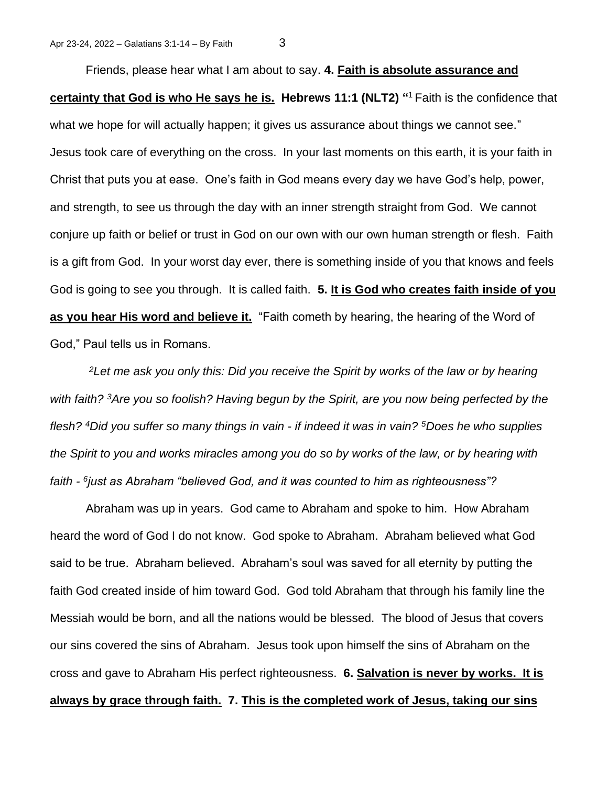Friends, please hear what I am about to say. **4. Faith is absolute assurance and certainty that God is who He says he is. Hebrews 11:1 (NLT2) "** <sup>1</sup>Faith is the confidence that what we hope for will actually happen; it gives us assurance about things we cannot see." Jesus took care of everything on the cross. In your last moments on this earth, it is your faith in Christ that puts you at ease. One's faith in God means every day we have God's help, power, and strength, to see us through the day with an inner strength straight from God. We cannot conjure up faith or belief or trust in God on our own with our own human strength or flesh. Faith is a gift from God. In your worst day ever, there is something inside of you that knows and feels God is going to see you through. It is called faith. **5. It is God who creates faith inside of you as you hear His word and believe it.** "Faith cometh by hearing, the hearing of the Word of God," Paul tells us in Romans.

*<sup>2</sup>Let me ask you only this: Did you receive the Spirit by works of the law or by hearing with faith? <sup>3</sup>Are you so foolish? Having begun by the Spirit, are you now being perfected by the flesh? <sup>4</sup>Did you suffer so many things in vain - if indeed it was in vain? <sup>5</sup>Does he who supplies the Spirit to you and works miracles among you do so by works of the law, or by hearing with faith - 6 just as Abraham "believed God, and it was counted to him as righteousness"?*

Abraham was up in years. God came to Abraham and spoke to him. How Abraham heard the word of God I do not know. God spoke to Abraham. Abraham believed what God said to be true. Abraham believed. Abraham's soul was saved for all eternity by putting the faith God created inside of him toward God. God told Abraham that through his family line the Messiah would be born, and all the nations would be blessed. The blood of Jesus that covers our sins covered the sins of Abraham. Jesus took upon himself the sins of Abraham on the cross and gave to Abraham His perfect righteousness. **6. Salvation is never by works. It is always by grace through faith. 7. This is the completed work of Jesus, taking our sins**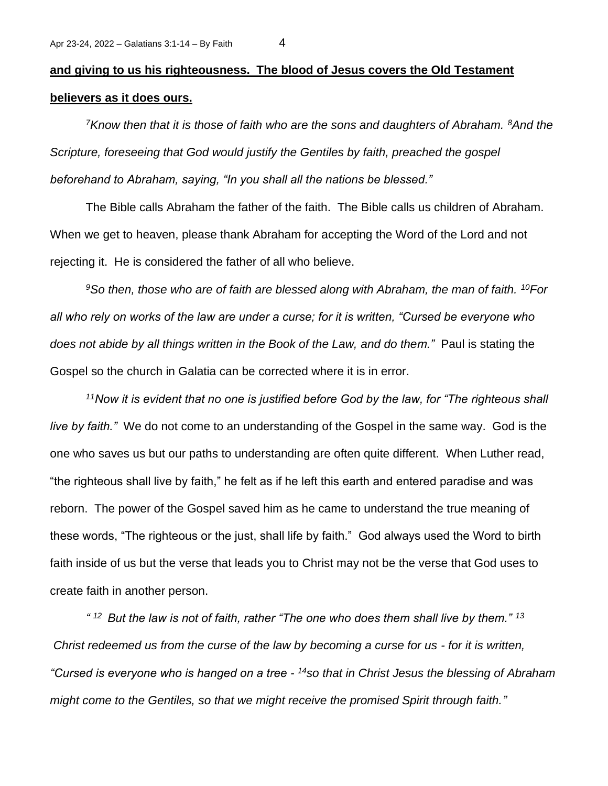## **and giving to us his righteousness. The blood of Jesus covers the Old Testament believers as it does ours.**

*<sup>7</sup>Know then that it is those of faith who are the sons and daughters of Abraham. <sup>8</sup>And the Scripture, foreseeing that God would justify the Gentiles by faith, preached the gospel beforehand to Abraham, saying, "In you shall all the nations be blessed."* 

The Bible calls Abraham the father of the faith. The Bible calls us children of Abraham. When we get to heaven, please thank Abraham for accepting the Word of the Lord and not rejecting it. He is considered the father of all who believe.

*<sup>9</sup>So then, those who are of faith are blessed along with Abraham, the man of faith. <sup>10</sup>For all who rely on works of the law are under a curse; for it is written, "Cursed be everyone who does not abide by all things written in the Book of the Law, and do them."* Paul is stating the Gospel so the church in Galatia can be corrected where it is in error.

*<sup>11</sup>Now it is evident that no one is justified before God by the law, for "The righteous shall live by faith."* We do not come to an understanding of the Gospel in the same way. God is the one who saves us but our paths to understanding are often quite different. When Luther read, "the righteous shall live by faith," he felt as if he left this earth and entered paradise and was reborn. The power of the Gospel saved him as he came to understand the true meaning of these words, "The righteous or the just, shall life by faith." God always used the Word to birth faith inside of us but the verse that leads you to Christ may not be the verse that God uses to create faith in another person.

*" <sup>12</sup>But the law is not of faith, rather "The one who does them shall live by them." <sup>13</sup> Christ redeemed us from the curse of the law by becoming a curse for us - for it is written, "Cursed is everyone who is hanged on a tree - <sup>14</sup>so that in Christ Jesus the blessing of Abraham might come to the Gentiles, so that we might receive the promised Spirit through faith."*